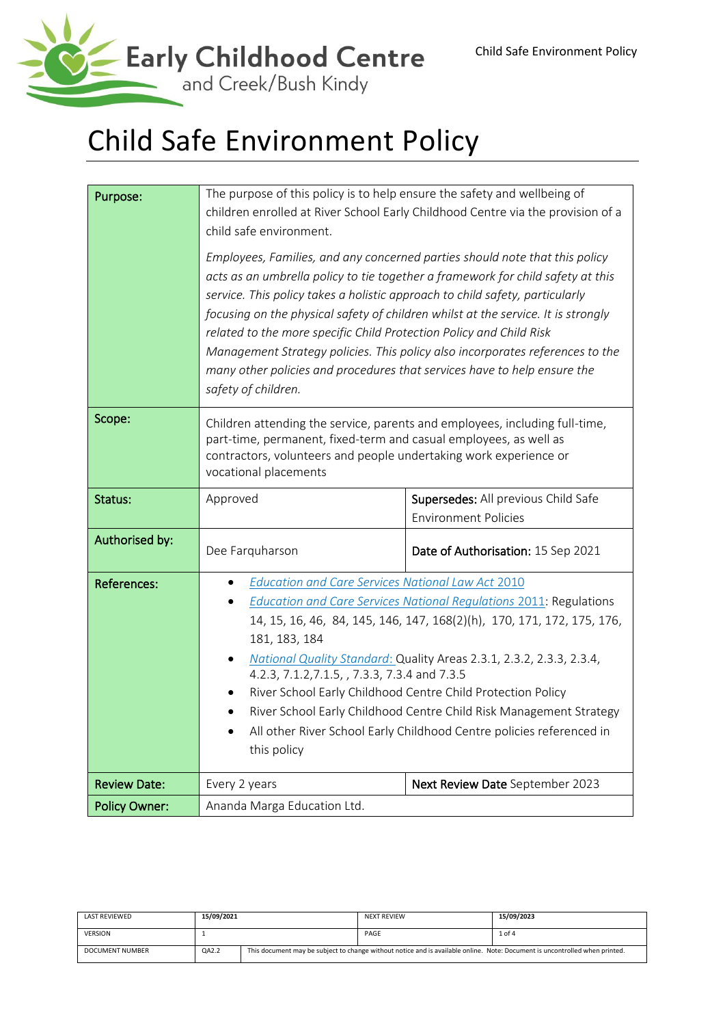

# Child Safe Environment Policy

| Purpose:             | The purpose of this policy is to help ensure the safety and wellbeing of<br>children enrolled at River School Early Childhood Centre via the provision of a<br>child safe environment.                                                                                                                                                                                                                                                                                                                                                                                                         |                                                                    |  |  |
|----------------------|------------------------------------------------------------------------------------------------------------------------------------------------------------------------------------------------------------------------------------------------------------------------------------------------------------------------------------------------------------------------------------------------------------------------------------------------------------------------------------------------------------------------------------------------------------------------------------------------|--------------------------------------------------------------------|--|--|
|                      | Employees, Families, and any concerned parties should note that this policy<br>acts as an umbrella policy to tie together a framework for child safety at this<br>service. This policy takes a holistic approach to child safety, particularly<br>focusing on the physical safety of children whilst at the service. It is strongly<br>related to the more specific Child Protection Policy and Child Risk<br>Management Strategy policies. This policy also incorporates references to the<br>many other policies and procedures that services have to help ensure the<br>safety of children. |                                                                    |  |  |
| Scope:               | Children attending the service, parents and employees, including full-time,<br>part-time, permanent, fixed-term and casual employees, as well as<br>contractors, volunteers and people undertaking work experience or<br>vocational placements                                                                                                                                                                                                                                                                                                                                                 |                                                                    |  |  |
| Status:              | Approved                                                                                                                                                                                                                                                                                                                                                                                                                                                                                                                                                                                       | Supersedes: All previous Child Safe<br><b>Environment Policies</b> |  |  |
| Authorised by:       | Dee Farquharson                                                                                                                                                                                                                                                                                                                                                                                                                                                                                                                                                                                | Date of Authorisation: 15 Sep 2021                                 |  |  |
| <b>References:</b>   | <b>Education and Care Services National Law Act 2010</b><br><b>Education and Care Services National Regulations 2011: Regulations</b><br>14, 15, 16, 46, 84, 145, 146, 147, 168(2)(h), 170, 171, 172, 175, 176,<br>181, 183, 184<br>National Quality Standard: Quality Areas 2.3.1, 2.3.2, 2.3.3, 2.3.4,<br>4.2.3, 7.1.2, 7.1.5, , 7.3.3, 7.3.4 and 7.3.5<br>River School Early Childhood Centre Child Protection Policy<br>River School Early Childhood Centre Child Risk Management Strategy<br>All other River School Early Childhood Centre policies referenced in<br>this policy          |                                                                    |  |  |
| <b>Review Date:</b>  | Next Review Date September 2023<br>Every 2 years                                                                                                                                                                                                                                                                                                                                                                                                                                                                                                                                               |                                                                    |  |  |
| <b>Policy Owner:</b> | Ananda Marga Education Ltd.                                                                                                                                                                                                                                                                                                                                                                                                                                                                                                                                                                    |                                                                    |  |  |

| LAST REVIEWED   | 15/09/2021 |                                                                                                                             | <b>NEXT REVIEW</b> | 15/09/2023 |
|-----------------|------------|-----------------------------------------------------------------------------------------------------------------------------|--------------------|------------|
| <b>VERSION</b>  |            |                                                                                                                             | PAGE               | 1 of 4     |
| DOCUMENT NUMBER | QA2.2      | This document may be subject to change without notice and is available online. Note: Document is uncontrolled when printed. |                    |            |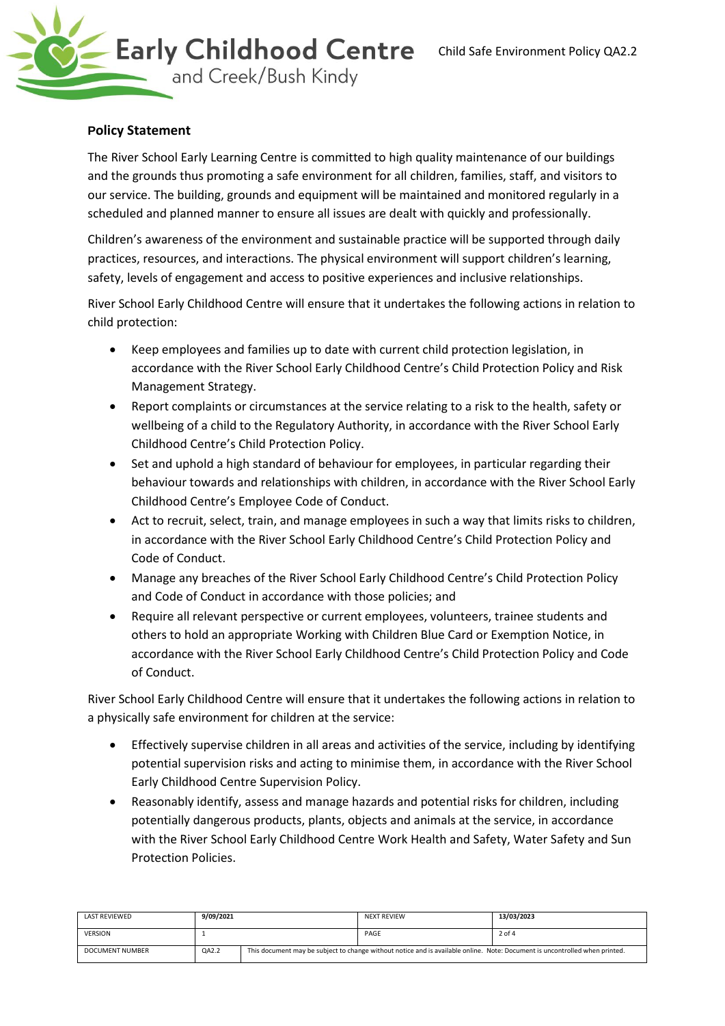

## **Policy Statement**

The River School Early Learning Centre is committed to high quality maintenance of our buildings and the grounds thus promoting a safe environment for all children, families, staff, and visitors to our service. The building, grounds and equipment will be maintained and monitored regularly in a scheduled and planned manner to ensure all issues are dealt with quickly and professionally.

Children's awareness of the environment and sustainable practice will be supported through daily practices, resources, and interactions. The physical environment will support children's learning, safety, levels of engagement and access to positive experiences and inclusive relationships.

River School Early Childhood Centre will ensure that it undertakes the following actions in relation to child protection:

- Keep employees and families up to date with current child protection legislation, in accordance with the River School Early Childhood Centre's Child Protection Policy and Risk Management Strategy.
- Report complaints or circumstances at the service relating to a risk to the health, safety or wellbeing of a child to the Regulatory Authority, in accordance with the River School Early Childhood Centre's Child Protection Policy.
- Set and uphold a high standard of behaviour for employees, in particular regarding their behaviour towards and relationships with children, in accordance with the River School Early Childhood Centre's Employee Code of Conduct.
- Act to recruit, select, train, and manage employees in such a way that limits risks to children, in accordance with the River School Early Childhood Centre's Child Protection Policy and Code of Conduct.
- Manage any breaches of the River School Early Childhood Centre's Child Protection Policy and Code of Conduct in accordance with those policies; and
- Require all relevant perspective or current employees, volunteers, trainee students and others to hold an appropriate Working with Children Blue Card or Exemption Notice, in accordance with the River School Early Childhood Centre's Child Protection Policy and Code of Conduct.

River School Early Childhood Centre will ensure that it undertakes the following actions in relation to a physically safe environment for children at the service:

- Effectively supervise children in all areas and activities of the service, including by identifying potential supervision risks and acting to minimise them, in accordance with the River School Early Childhood Centre Supervision Policy.
- Reasonably identify, assess and manage hazards and potential risks for children, including potentially dangerous products, plants, objects and animals at the service, in accordance with the River School Early Childhood Centre Work Health and Safety, Water Safety and Sun Protection Policies.

| LAST REVIEWED   | 9/09/2021 |                                                                                                                             | <b>NEXT REVIEW</b> | 13/03/2023 |
|-----------------|-----------|-----------------------------------------------------------------------------------------------------------------------------|--------------------|------------|
| <b>VERSION</b>  |           |                                                                                                                             | PAGE               | 2 of 4     |
| DOCUMENT NUMBER | QA2.2     | This document may be subject to change without notice and is available online. Note: Document is uncontrolled when printed. |                    |            |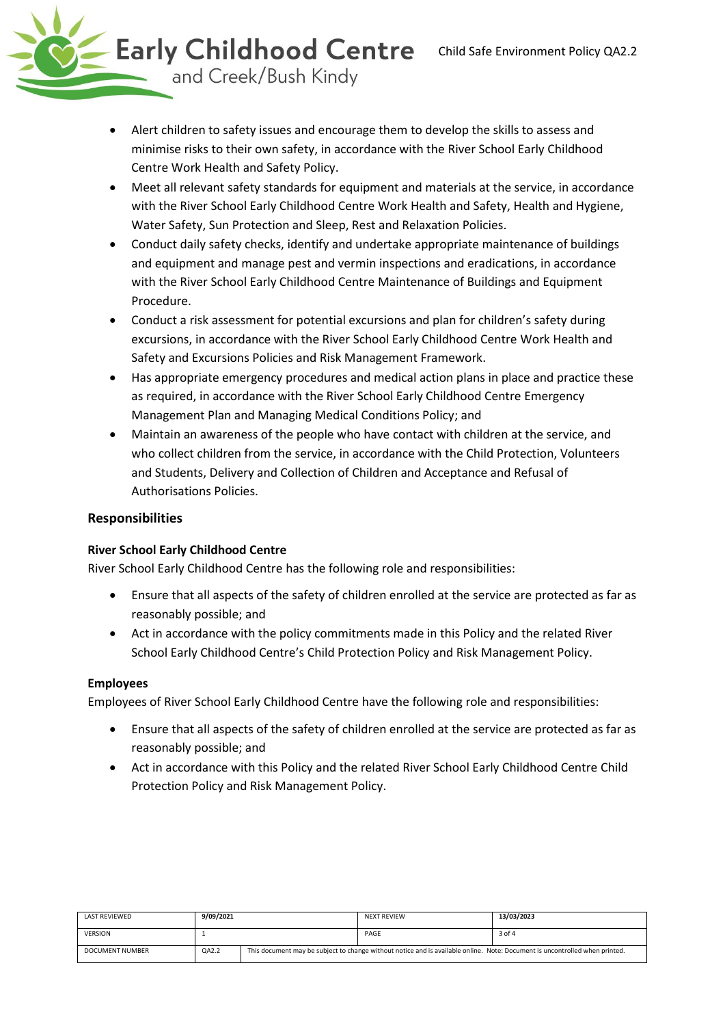

- Alert children to safety issues and encourage them to develop the skills to assess and minimise risks to their own safety, in accordance with the River School Early Childhood Centre Work Health and Safety Policy.
- Meet all relevant safety standards for equipment and materials at the service, in accordance with the River School Early Childhood Centre Work Health and Safety, Health and Hygiene, Water Safety, Sun Protection and Sleep, Rest and Relaxation Policies.
- Conduct daily safety checks, identify and undertake appropriate maintenance of buildings and equipment and manage pest and vermin inspections and eradications, in accordance with the River School Early Childhood Centre Maintenance of Buildings and Equipment Procedure.
- Conduct a risk assessment for potential excursions and plan for children's safety during excursions, in accordance with the River School Early Childhood Centre Work Health and Safety and Excursions Policies and Risk Management Framework.
- Has appropriate emergency procedures and medical action plans in place and practice these as required, in accordance with the River School Early Childhood Centre Emergency Management Plan and Managing Medical Conditions Policy; and
- Maintain an awareness of the people who have contact with children at the service, and who collect children from the service, in accordance with the Child Protection, Volunteers and Students, Delivery and Collection of Children and Acceptance and Refusal of Authorisations Policies.

# **Responsibilities**

### **River School Early Childhood Centre**

River School Early Childhood Centre has the following role and responsibilities:

- Ensure that all aspects of the safety of children enrolled at the service are protected as far as reasonably possible; and
- Act in accordance with the policy commitments made in this Policy and the related River School Early Childhood Centre's Child Protection Policy and Risk Management Policy.

### **Employees**

Employees of River School Early Childhood Centre have the following role and responsibilities:

- Ensure that all aspects of the safety of children enrolled at the service are protected as far as reasonably possible; and
- Act in accordance with this Policy and the related River School Early Childhood Centre Child Protection Policy and Risk Management Policy.

| LAST REVIEWED          | 9/09/2021 |                                                                                                                             | <b>NEXT REVIEW</b> | 13/03/2023 |
|------------------------|-----------|-----------------------------------------------------------------------------------------------------------------------------|--------------------|------------|
| <b>VERSION</b>         |           |                                                                                                                             | PAGE               | 3 of 4     |
| <b>DOCUMENT NUMBER</b> | QA2.2     | This document may be subject to change without notice and is available online. Note: Document is uncontrolled when printed. |                    |            |